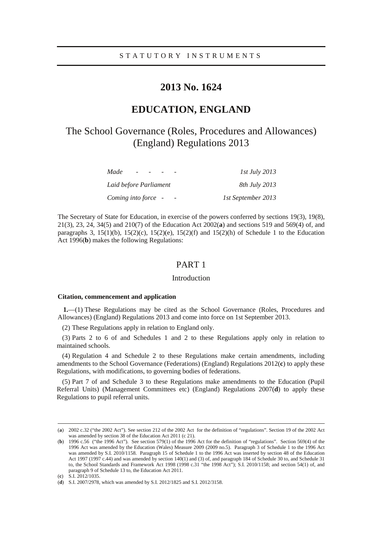# **2013 No. 1624**

# **EDUCATION, ENGLAND**

# The School Governance (Roles, Procedures and Allowances) (England) Regulations 2013

| Made<br>$\overline{\phantom{0}}$ | <i>1st July 2013</i> |
|----------------------------------|----------------------|
| Laid before Parliament           | <i>8th July 2013</i> |
| Coming into force -              | 1st September 2013   |

The Secretary of State for Education, in exercise of the powers conferred by sections 19(3), 19(8), 21(3), 23, 24, 34(5) and 210(7) of the Education Act 2002(**a**) and sections 519 and 569(4) of, and paragraphs 3, 15(1)(b), 15(2)(c), 15(2)(e), 15(2)(f) and 15(2)(h) of Schedule 1 to the Education Act 1996(**b**) makes the following Regulations:

## PART 1

## Introduction

#### **Citation, commencement and application**

**1.**—(1) These Regulations may be cited as the School Governance (Roles, Procedures and Allowances) (England) Regulations 2013 and come into force on 1st September 2013.

(2) These Regulations apply in relation to England only.

(3) Parts 2 to 6 of and Schedules 1 and 2 to these Regulations apply only in relation to maintained schools.

(4) Regulation 4 and Schedule 2 to these Regulations make certain amendments, including amendments to the School Governance (Federations) (England) Regulations 2012(**c**) to apply these Regulations, with modifications, to governing bodies of federations.

(5) Part 7 of and Schedule 3 to these Regulations make amendments to the Education (Pupil Referral Units) (Management Committees etc) (England) Regulations 2007(**d**) to apply these Regulations to pupil referral units.

<sup>(</sup>**a**) 2002 c.32 ("the 2002 Act"). See section 212 of the 2002 Act for the definition of "regulations". Section 19 of the 2002 Act was amended by section 38 of the Education Act 2011 (c 21).

<sup>(</sup>**b**) 1996 c.56 ("the 1996 Act"). See section 579(1) of the 1996 Act for the definition of "regulations". Section 569(4) of the 1996 Act was amended by the Education (Wales) Measure 2009 (2009 no.5). Paragraph 3 of Schedule 1 to the 1996 Act was amended by S.I. 2010/1158. Paragraph 15 of Schedule 1 to the 1996 Act was inserted by section 48 of the Education Act 1997 (1997 c.44) and was amended by section 140(1) and (3) of, and paragraph 184 of Schedule 30 to, and Schedule 31 to, the School Standards and Framework Act 1998 (1998 c.31 "the 1998 Act"); S.I. 2010/1158; and section 54(1) of, and paragraph 9 of Schedule 13 to, the Education Act 2011.

<sup>(</sup>**c**) S.I. 2012/1035.

<sup>(</sup>**d**) S.I. 2007/2978, which was amended by S.I. 2012/1825 and S.I. 2012/3158.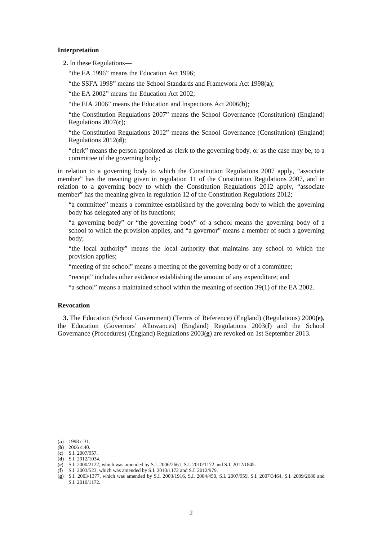#### **Interpretation**

**2.** In these Regulations—

"the EA 1996" means the Education Act 1996;

"the SSFA 1998" means the School Standards and Framework Act 1998(**a**);

"the EA 2002" means the Education Act 2002;

"the EIA 2006" means the Education and Inspections Act 2006(**b**);

"the Constitution Regulations 2007" means the School Governance (Constitution) (England) Regulations 2007(**c**);

"the Constitution Regulations 2012" means the School Governance (Constitution) (England) Regulations 2012(**d**);

"clerk" means the person appointed as clerk to the governing body, or as the case may be, to a committee of the governing body;

in relation to a governing body to which the Constitution Regulations 2007 apply, "associate member" has the meaning given in regulation 11 of the Constitution Regulations 2007, and in relation to a governing body to which the Constitution Regulations 2012 apply, "associate member" has the meaning given in regulation 12 of the Constitution Regulations 2012;

"a committee" means a committee established by the governing body to which the governing body has delegated any of its functions;

"a governing body" or "the governing body" of a school means the governing body of a school to which the provision applies, and "a governor" means a member of such a governing body;

"the local authority" means the local authority that maintains any school to which the provision applies;

"meeting of the school" means a meeting of the governing body or of a committee;

"receipt" includes other evidence establishing the amount of any expenditure; and

"a school" means a maintained school within the meaning of section 39(1) of the EA 2002.

## **Revocation**

**3.** The Education (School Government) (Terms of Reference) (England) (Regulations) 2000**(e)**, the Education (Governors' Allowances) (England) Regulations 2003(**f**) and the School Governance (Procedures) (England) Regulations 2003(**g**) are revoked on 1st September 2013.

<sup>(</sup>**a**) 1998 c.31.

<sup>(</sup>**b**) 2006 c.40.

<sup>(</sup>**c**) S.I. 2007/957. (**d**) S.I. 2012/1034.

<sup>(</sup>**e**) S.I. 2000/2122, which was amended by S.I. 2006/2661, S.I. 2010/1172 and S.I. 2012/1845.

<sup>(</sup>**f**) S.I. 2003/523, which was amended by S.I. 2010/1172 and S.I. 2012/979.

<sup>(</sup>**g**) S.I. 2003/1377, which was amended by S.I. 2003/1916, S.I. 2004/450, S.I. 2007/959, S.I. 2007/3464, S.I. 2009/2680 and S.I. 2010/1172.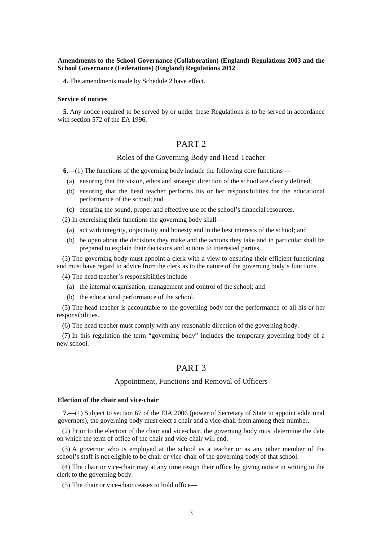### **Amendments to the School Governance (Collaboration) (England) Regulations 2003 and the School Governance (Federations) (England) Regulations 2012**

**4.** The amendments made by Schedule 2 have effect.

#### **Service of notices**

**5.** Any notice required to be served by or under these Regulations is to be served in accordance with section 572 of the EA 1996.

## PART 2

## Roles of the Governing Body and Head Teacher

**6.**—(1) The functions of the governing body include the following core functions —

- (a) ensuring that the vision, ethos and strategic direction of the school are clearly defined;
- (b) ensuring that the head teacher performs his or her responsibilities for the educational performance of the school; and
- (c) ensuring the sound, proper and effective use of the school's financial resources.

(2) In exercising their functions the governing body shall—

- (a) act with integrity, objectivity and honesty and in the best interests of the school; and
- (b) be open about the decisions they make and the actions they take and in particular shall be prepared to explain their decisions and actions to interested parties.

(3) The governing body must appoint a clerk with a view to ensuring their efficient functioning and must have regard to advice from the clerk as to the nature of the governing body's functions.

(4) The head teacher's responsibilities include—

- (a) the internal organisation, management and control of the school; and
- (b) the educational performance of the school.

(5) The head teacher is accountable to the governing body for the performance of all his or her responsibilities.

(6) The head teacher must comply with any reasonable direction of the governing body.

(7) In this regulation the term "governing body" includes the temporary governing body of a new school.

## PART 3

### Appointment, Functions and Removal of Officers

#### **Election of the chair and vice-chair**

**7.**—(1) Subject to section 67 of the EIA 2006 (power of Secretary of State to appoint additional governors), the governing body must elect a chair and a vice-chair from among their number.

(2) Prior to the election of the chair and vice-chair, the governing body must determine the date on which the term of office of the chair and vice-chair will end.

(3) A governor who is employed at the school as a teacher or as any other member of the school's staff is not eligible to be chair or vice-chair of the governing body of that school.

(4) The chair or vice-chair may at any time resign their office by giving notice in writing to the clerk to the governing body.

(5) The chair or vice-chair ceases to hold office—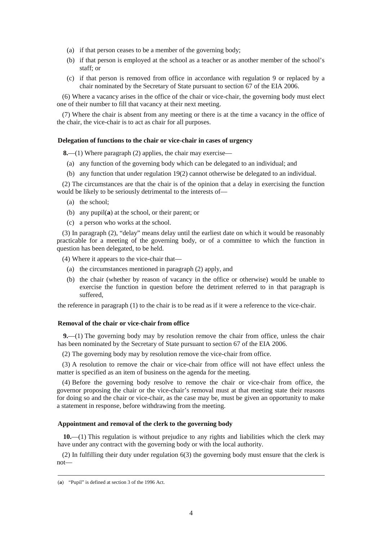- (a) if that person ceases to be a member of the governing body;
- (b) if that person is employed at the school as a teacher or as another member of the school's staff; or
- (c) if that person is removed from office in accordance with regulation 9 or replaced by a chair nominated by the Secretary of State pursuant to section 67 of the EIA 2006.

(6) Where a vacancy arises in the office of the chair or vice-chair, the governing body must elect one of their number to fill that vacancy at their next meeting.

(7) Where the chair is absent from any meeting or there is at the time a vacancy in the office of the chair, the vice-chair is to act as chair for all purposes.

#### **Delegation of functions to the chair or vice-chair in cases of urgency**

**8.**—(1) Where paragraph (2) applies, the chair may exercise—

- (a) any function of the governing body which can be delegated to an individual; and
- (b) any function that under regulation 19(2) cannot otherwise be delegated to an individual.

(2) The circumstances are that the chair is of the opinion that a delay in exercising the function would be likely to be seriously detrimental to the interests of—

- (a) the school;
- (b) any pupil(**a**) at the school, or their parent; or
- (c) a person who works at the school.

(3) In paragraph (2), "delay" means delay until the earliest date on which it would be reasonably practicable for a meeting of the governing body, or of a committee to which the function in question has been delegated, to be held.

(4) Where it appears to the vice-chair that—

- (a) the circumstances mentioned in paragraph (2) apply, and
- (b) the chair (whether by reason of vacancy in the office or otherwise) would be unable to exercise the function in question before the detriment referred to in that paragraph is suffered,

the reference in paragraph (1) to the chair is to be read as if it were a reference to the vice-chair.

### **Removal of the chair or vice-chair from office**

**9.**—(1) The governing body may by resolution remove the chair from office, unless the chair has been nominated by the Secretary of State pursuant to section 67 of the EIA 2006.

(2) The governing body may by resolution remove the vice-chair from office.

(3) A resolution to remove the chair or vice-chair from office will not have effect unless the matter is specified as an item of business on the agenda for the meeting.

(4) Before the governing body resolve to remove the chair or vice-chair from office, the governor proposing the chair or the vice-chair's removal must at that meeting state their reasons for doing so and the chair or vice-chair, as the case may be, must be given an opportunity to make a statement in response, before withdrawing from the meeting.

### **Appointment and removal of the clerk to the governing body**

**10.**—(1) This regulation is without prejudice to any rights and liabilities which the clerk may have under any contract with the governing body or with the local authority.

(2) In fulfilling their duty under regulation 6(3) the governing body must ensure that the clerk is not—

<sup>(</sup>**a**) "Pupil" is defined at section 3 of the 1996 Act.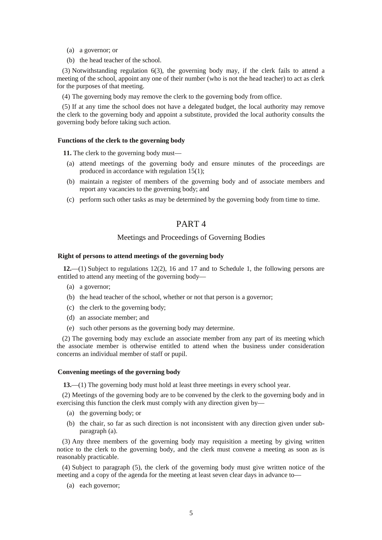- (a) a governor; or
- (b) the head teacher of the school.

(3) Notwithstanding regulation 6(3), the governing body may, if the clerk fails to attend a meeting of the school, appoint any one of their number (who is not the head teacher) to act as clerk for the purposes of that meeting.

(4) The governing body may remove the clerk to the governing body from office.

(5) If at any time the school does not have a delegated budget, the local authority may remove the clerk to the governing body and appoint a substitute, provided the local authority consults the governing body before taking such action.

#### **Functions of the clerk to the governing body**

**11.** The clerk to the governing body must—

- (a) attend meetings of the governing body and ensure minutes of the proceedings are produced in accordance with regulation 15(1);
- (b) maintain a register of members of the governing body and of associate members and report any vacancies to the governing body; and
- (c) perform such other tasks as may be determined by the governing body from time to time.

## PART 4

## Meetings and Proceedings of Governing Bodies

### **Right of persons to attend meetings of the governing body**

**12.**—(1) Subject to regulations 12(2), 16 and 17 and to Schedule 1, the following persons are entitled to attend any meeting of the governing body—

- (a) a governor;
- (b) the head teacher of the school, whether or not that person is a governor;
- (c) the clerk to the governing body;
- (d) an associate member; and
- (e) such other persons as the governing body may determine.

(2) The governing body may exclude an associate member from any part of its meeting which the associate member is otherwise entitled to attend when the business under consideration concerns an individual member of staff or pupil.

#### **Convening meetings of the governing body**

**13.**—(1) The governing body must hold at least three meetings in every school year.

(2) Meetings of the governing body are to be convened by the clerk to the governing body and in exercising this function the clerk must comply with any direction given by—

- (a) the governing body; or
- (b) the chair, so far as such direction is not inconsistent with any direction given under subparagraph (a).

(3) Any three members of the governing body may requisition a meeting by giving written notice to the clerk to the governing body, and the clerk must convene a meeting as soon as is reasonably practicable.

(4) Subject to paragraph (5), the clerk of the governing body must give written notice of the meeting and a copy of the agenda for the meeting at least seven clear days in advance to—

(a) each governor;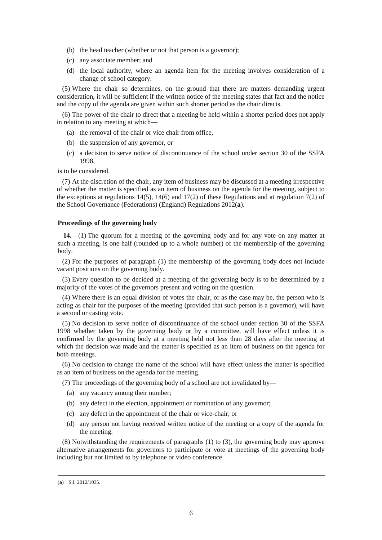- (b) the head teacher (whether or not that person is a governor);
- (c) any associate member; and
- (d) the local authority, where an agenda item for the meeting involves consideration of a change of school category.

(5) Where the chair so determines, on the ground that there are matters demanding urgent consideration, it will be sufficient if the written notice of the meeting states that fact and the notice and the copy of the agenda are given within such shorter period as the chair directs.

(6) The power of the chair to direct that a meeting be held within a shorter period does not apply in relation to any meeting at which—

- (a) the removal of the chair or vice chair from office,
- (b) the suspension of any governor, or
- (c) a decision to serve notice of discontinuance of the school under section 30 of the SSFA 1998,

is to be considered.

(7) At the discretion of the chair, any item of business may be discussed at a meeting irrespective of whether the matter is specified as an item of business on the agenda for the meeting, subject to the exceptions at regulations 14(5), 14(6) and 17(2) of these Regulations and at regulation 7(2) of the School Governance (Federations) (England) Regulations 2012(**a**).

#### **Proceedings of the governing body**

**14.**—(1) The quorum for a meeting of the governing body and for any vote on any matter at such a meeting, is one half (rounded up to a whole number) of the membership of the governing body.

(2) For the purposes of paragraph (1) the membership of the governing body does not include vacant positions on the governing body.

(3) Every question to be decided at a meeting of the governing body is to be determined by a majority of the votes of the governors present and voting on the question.

(4) Where there is an equal division of votes the chair, or as the case may be, the person who is acting as chair for the purposes of the meeting (provided that such person is a governor), will have a second or casting vote.

(5) No decision to serve notice of discontinuance of the school under section 30 of the SSFA 1998 whether taken by the governing body or by a committee, will have effect unless it is confirmed by the governing body at a meeting held not less than 28 days after the meeting at which the decision was made and the matter is specified as an item of business on the agenda for both meetings.

(6) No decision to change the name of the school will have effect unless the matter is specified as an item of business on the agenda for the meeting.

(7) The proceedings of the governing body of a school are not invalidated by—

- (a) any vacancy among their number;
- (b) any defect in the election, appointment or nomination of any governor;
- (c) any defect in the appointment of the chair or vice-chair; or
- (d) any person not having received written notice of the meeting or a copy of the agenda for the meeting.

(8) Notwithstanding the requirements of paragraphs (1) to (3), the governing body may approve alternative arrangements for governors to participate or vote at meetings of the governing body including but not limited to by telephone or video conference.

<sup>(</sup>**a**) S.I. 2012/1035.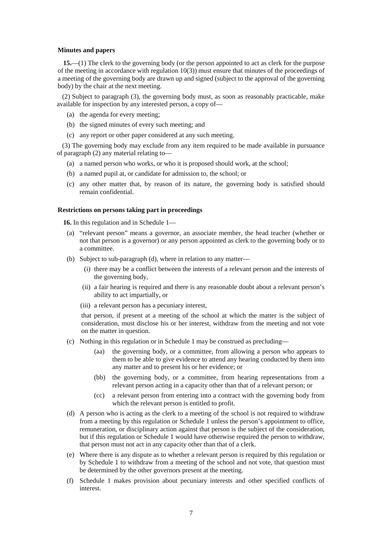#### **Minutes and papers**

**15.**—(1) The clerk to the governing body (or the person appointed to act as clerk for the purpose of the meeting in accordance with regulation 10(3)) must ensure that minutes of the proceedings of a meeting of the governing body are drawn up and signed (subject to the approval of the governing body) by the chair at the next meeting.

(2) Subject to paragraph (3), the governing body must, as soon as reasonably practicable, make available for inspection by any interested person, a copy of—

- (a) the agenda for every meeting;
- (b) the signed minutes of every such meeting; and
- (c) any report or other paper considered at any such meeting.

(3) The governing body may exclude from any item required to be made available in pursuance of paragraph (2) any material relating to—

- (a) a named person who works, or who it is proposed should work, at the school;
- (b) a named pupil at, or candidate for admission to, the school; or
- (c) any other matter that, by reason of its nature, the governing body is satisfied should remain confidential.

#### **Restrictions on persons taking part in proceedings**

**16.** In this regulation and in Schedule 1—

- (a) "relevant person" means a governor, an associate member, the head teacher (whether or not that person is a governor) or any person appointed as clerk to the governing body or to a committee.
- (b) Subject to sub-paragraph (d), where in relation to any matter—
	- (i) there may be a conflict between the interests of a relevant person and the interests of the governing body,
	- (ii) a fair hearing is required and there is any reasonable doubt about a relevant person's ability to act impartially, or
	- (iii) a relevant person has a pecuniary interest,

that person, if present at a meeting of the school at which the matter is the subject of consideration, must disclose his or her interest, withdraw from the meeting and not vote on the matter in question.

- (c) Nothing in this regulation or in Schedule 1 may be construed as precluding—
	- (aa) the governing body, or a committee, from allowing a person who appears to them to be able to give evidence to attend any hearing conducted by them into any matter and to present his or her evidence; or
	- (bb) the governing body, or a committee, from hearing representations from a relevant person acting in a capacity other than that of a relevant person; or
	- (cc) a relevant person from entering into a contract with the governing body from which the relevant person is entitled to profit.
- (d) A person who is acting as the clerk to a meeting of the school is not required to withdraw from a meeting by this regulation or Schedule 1 unless the person's appointment to office, remuneration, or disciplinary action against that person is the subject of the consideration, but if this regulation or Schedule 1 would have otherwise required the person to withdraw, that person must not act in any capacity other than that of a clerk.
- (e) Where there is any dispute as to whether a relevant person is required by this regulation or by Schedule 1 to withdraw from a meeting of the school and not vote, that question must be determined by the other governors present at the meeting.
- (f) Schedule 1 makes provision about pecuniary interests and other specified conflicts of interest.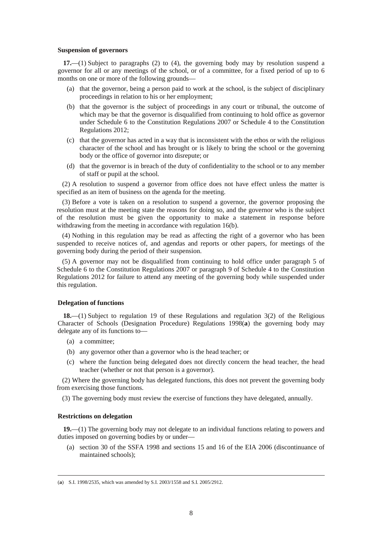#### **Suspension of governors**

**17.**—(1) Subject to paragraphs (2) to (4), the governing body may by resolution suspend a governor for all or any meetings of the school, or of a committee, for a fixed period of up to 6 months on one or more of the following grounds—

- (a) that the governor, being a person paid to work at the school, is the subject of disciplinary proceedings in relation to his or her employment;
- (b) that the governor is the subject of proceedings in any court or tribunal, the outcome of which may be that the governor is disqualified from continuing to hold office as governor under Schedule 6 to the Constitution Regulations 2007 or Schedule 4 to the Constitution Regulations 2012;
- (c) that the governor has acted in a way that is inconsistent with the ethos or with the religious character of the school and has brought or is likely to bring the school or the governing body or the office of governor into disrepute; or
- (d) that the governor is in breach of the duty of confidentiality to the school or to any member of staff or pupil at the school.

(2) A resolution to suspend a governor from office does not have effect unless the matter is specified as an item of business on the agenda for the meeting.

(3) Before a vote is taken on a resolution to suspend a governor, the governor proposing the resolution must at the meeting state the reasons for doing so, and the governor who is the subject of the resolution must be given the opportunity to make a statement in response before withdrawing from the meeting in accordance with regulation 16(b).

(4) Nothing in this regulation may be read as affecting the right of a governor who has been suspended to receive notices of, and agendas and reports or other papers, for meetings of the governing body during the period of their suspension.

(5) A governor may not be disqualified from continuing to hold office under paragraph 5 of Schedule 6 to the Constitution Regulations 2007 or paragraph 9 of Schedule 4 to the Constitution Regulations 2012 for failure to attend any meeting of the governing body while suspended under this regulation.

#### **Delegation of functions**

**18.**—(1) Subject to regulation 19 of these Regulations and regulation 3(2) of the Religious Character of Schools (Designation Procedure) Regulations 1998(**a**) the governing body may delegate any of its functions to—

- (a) a committee;
- (b) any governor other than a governor who is the head teacher; or
- (c) where the function being delegated does not directly concern the head teacher, the head teacher (whether or not that person is a governor).

(2) Where the governing body has delegated functions, this does not prevent the governing body from exercising those functions.

(3) The governing body must review the exercise of functions they have delegated, annually.

#### **Restrictions on delegation**

-

**19.**—(1) The governing body may not delegate to an individual functions relating to powers and duties imposed on governing bodies by or under—

(a) section 30 of the SSFA 1998 and sections 15 and 16 of the EIA 2006 (discontinuance of maintained schools);

<sup>(</sup>**a**) S.I. 1998/2535, which was amended by S.I. 2003/1558 and S.I. 2005/2912.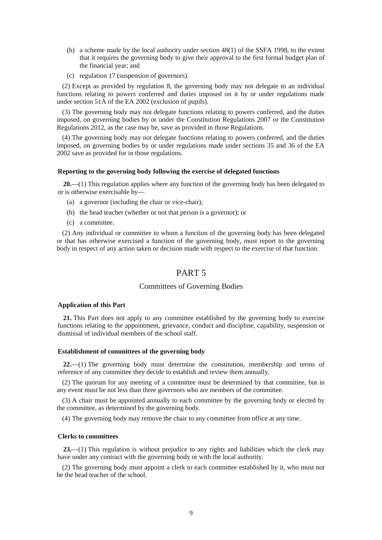- (b) a scheme made by the local authority under section 48(1) of the SSFA 1998, to the extent that it requires the governing body to give their approval to the first formal budget plan of the financial year; and
- (c) regulation 17 (suspension of governors).

(2) Except as provided by regulation 8, the governing body may not delegate to an individual functions relating to powers conferred and duties imposed on it by or under regulations made under section 51A of the EA 2002 (exclusion of pupils).

(3) The governing body may not delegate functions relating to powers conferred, and the duties imposed, on governing bodies by or under the Constitution Regulations 2007 or the Constitution Regulations 2012, as the case may be, save as provided in those Regulations.

(4) The governing body may not delegate functions relating to powers conferred, and the duties imposed, on governing bodies by or under regulations made under sections 35 and 36 of the EA 2002 save as provided for in those regulations.

#### **Reporting to the governing body following the exercise of delegated functions**

**20.**—(1) This regulation applies where any function of the governing body has been delegated to or is otherwise exercisable by—

- (a) a governor (including the chair or vice-chair);
- (b) the head teacher (whether or not that person is a governor); or
- (c) a committee.

(2) Any individual or committee to whom a function of the governing body has been delegated or that has otherwise exercised a function of the governing body, must report to the governing body in respect of any action taken or decision made with respect to the exercise of that function.

## PART 5

### Committees of Governing Bodies

### **Application of this Part**

**21.** This Part does not apply to any committee established by the governing body to exercise functions relating to the appointment, grievance, conduct and discipline, capability, suspension or dismissal of individual members of the school staff.

#### **Establishment of committees of the governing body**

**22.**—(1) The governing body must determine the constitution, membership and terms of reference of any committee they decide to establish and review them annually.

(2) The quorum for any meeting of a committee must be determined by that committee, but in any event must be not less than three governors who are members of the committee.

(3) A chair must be appointed annually to each committee by the governing body or elected by the committee, as determined by the governing body.

(4) The governing body may remove the chair to any committee from office at any time.

#### **Clerks to committees**

**23.**—(1) This regulation is without prejudice to any rights and liabilities which the clerk may have under any contract with the governing body or with the local authority.

(2) The governing body must appoint a clerk to each committee established by it, who must not be the head teacher of the school.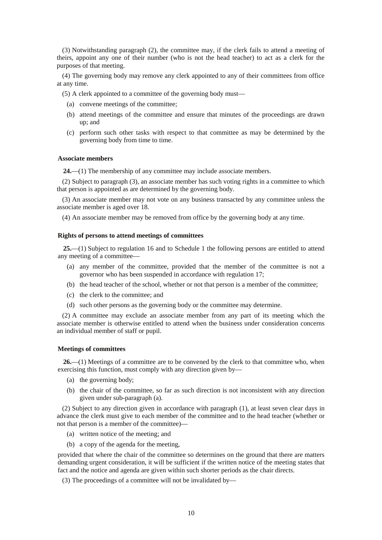(3) Notwithstanding paragraph (2), the committee may, if the clerk fails to attend a meeting of theirs, appoint any one of their number (who is not the head teacher) to act as a clerk for the purposes of that meeting.

(4) The governing body may remove any clerk appointed to any of their committees from office at any time.

(5) A clerk appointed to a committee of the governing body must—

- (a) convene meetings of the committee;
- (b) attend meetings of the committee and ensure that minutes of the proceedings are drawn up; and
- (c) perform such other tasks with respect to that committee as may be determined by the governing body from time to time.

#### **Associate members**

**24.**—(1) The membership of any committee may include associate members.

(2) Subject to paragraph (3), an associate member has such voting rights in a committee to which that person is appointed as are determined by the governing body.

(3) An associate member may not vote on any business transacted by any committee unless the associate member is aged over 18.

(4) An associate member may be removed from office by the governing body at any time.

### **Rights of persons to attend meetings of committees**

**25.**—(1) Subject to regulation 16 and to Schedule 1 the following persons are entitled to attend any meeting of a committee—

- (a) any member of the committee, provided that the member of the committee is not a governor who has been suspended in accordance with regulation 17;
- (b) the head teacher of the school, whether or not that person is a member of the committee;
- (c) the clerk to the committee; and
- (d) such other persons as the governing body or the committee may determine.

(2) A committee may exclude an associate member from any part of its meeting which the associate member is otherwise entitled to attend when the business under consideration concerns an individual member of staff or pupil.

#### **Meetings of committees**

**26.**—(1) Meetings of a committee are to be convened by the clerk to that committee who, when exercising this function, must comply with any direction given by—

- (a) the governing body;
- (b) the chair of the committee, so far as such direction is not inconsistent with any direction given under sub-paragraph (a).

(2) Subject to any direction given in accordance with paragraph (1), at least seven clear days in advance the clerk must give to each member of the committee and to the head teacher (whether or not that person is a member of the committee)—

- (a) written notice of the meeting; and
- (b) a copy of the agenda for the meeting,

provided that where the chair of the committee so determines on the ground that there are matters demanding urgent consideration, it will be sufficient if the written notice of the meeting states that fact and the notice and agenda are given within such shorter periods as the chair directs.

(3) The proceedings of a committee will not be invalidated by—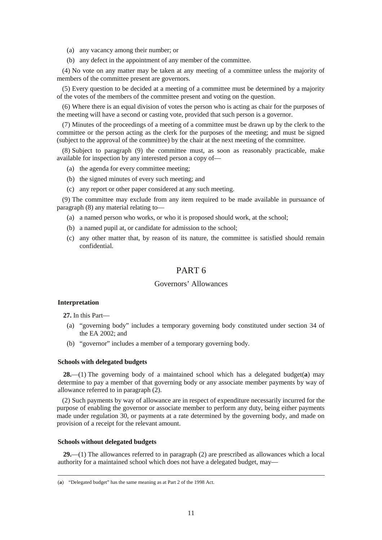- (a) any vacancy among their number; or
- (b) any defect in the appointment of any member of the committee.

(4) No vote on any matter may be taken at any meeting of a committee unless the majority of members of the committee present are governors.

(5) Every question to be decided at a meeting of a committee must be determined by a majority of the votes of the members of the committee present and voting on the question.

(6) Where there is an equal division of votes the person who is acting as chair for the purposes of the meeting will have a second or casting vote, provided that such person is a governor.

(7) Minutes of the proceedings of a meeting of a committee must be drawn up by the clerk to the committee or the person acting as the clerk for the purposes of the meeting; and must be signed (subject to the approval of the committee) by the chair at the next meeting of the committee.

(8) Subject to paragraph (9) the committee must, as soon as reasonably practicable, make available for inspection by any interested person a copy of—

- (a) the agenda for every committee meeting;
- (b) the signed minutes of every such meeting; and
- (c) any report or other paper considered at any such meeting.

(9) The committee may exclude from any item required to be made available in pursuance of paragraph (8) any material relating to—

- (a) a named person who works, or who it is proposed should work, at the school;
- (b) a named pupil at, or candidate for admission to the school;
- (c) any other matter that, by reason of its nature, the committee is satisfied should remain confidential.

## PART 6

## Governors' Allowances

## **Interpretation**

-

**27.** In this Part—

- (a) "governing body" includes a temporary governing body constituted under section 34 of the EA 2002; and
- (b) "governor" includes a member of a temporary governing body.

### **Schools with delegated budgets**

**28.**—(1) The governing body of a maintained school which has a delegated budget(**a**) may determine to pay a member of that governing body or any associate member payments by way of allowance referred to in paragraph (2).

(2) Such payments by way of allowance are in respect of expenditure necessarily incurred for the purpose of enabling the governor or associate member to perform any duty, being either payments made under regulation 30, or payments at a rate determined by the governing body, and made on provision of a receipt for the relevant amount.

#### **Schools without delegated budgets**

**29.**—(1) The allowances referred to in paragraph (2) are prescribed as allowances which a local authority for a maintained school which does not have a delegated budget, may—

<sup>(</sup>**a**) "Delegated budget" has the same meaning as at Part 2 of the 1998 Act.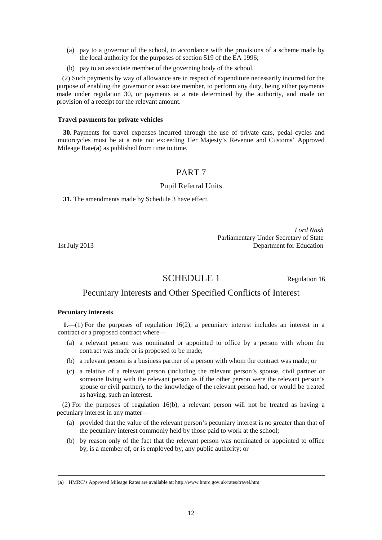- (a) pay to a governor of the school, in accordance with the provisions of a scheme made by the local authority for the purposes of section 519 of the EA 1996;
- (b) pay to an associate member of the governing body of the school.

(2) Such payments by way of allowance are in respect of expenditure necessarily incurred for the purpose of enabling the governor or associate member, to perform any duty, being either payments made under regulation 30, or payments at a rate determined by the authority, and made on provision of a receipt for the relevant amount.

### **Travel payments for private vehicles**

**30.** Payments for travel expenses incurred through the use of private cars, pedal cycles and motorcycles must be at a rate not exceeding Her Majesty's Revenue and Customs' Approved Mileage Rate(**a**) as published from time to time.

## PART 7

### Pupil Referral Units

**31.** The amendments made by Schedule 3 have effect.

*Lord Nash* Parliamentary Under Secretary of State 1st July 2013 Department for Education

SCHEDULE 1 Regulation 16

# Pecuniary Interests and Other Specified Conflicts of Interest

## **Pecuniary interests**

-

**1.**—(1) For the purposes of regulation 16(2), a pecuniary interest includes an interest in a contract or a proposed contract where—

- (a) a relevant person was nominated or appointed to office by a person with whom the contract was made or is proposed to be made;
- (b) a relevant person is a business partner of a person with whom the contract was made; or
- (c) a relative of a relevant person (including the relevant person's spouse, civil partner or someone living with the relevant person as if the other person were the relevant person's spouse or civil partner), to the knowledge of the relevant person had, or would be treated as having, such an interest.

(2) For the purposes of regulation 16(b), a relevant person will not be treated as having a pecuniary interest in any matter—

- (a) provided that the value of the relevant person's pecuniary interest is no greater than that of the pecuniary interest commonly held by those paid to work at the school;
- (b) by reason only of the fact that the relevant person was nominated or appointed to office by, is a member of, or is employed by, any public authority; or

<sup>(</sup>**a**) HMRC's Approved Mileage Rates are available at: http://www.hmrc.gov.uk/rates/travel.htm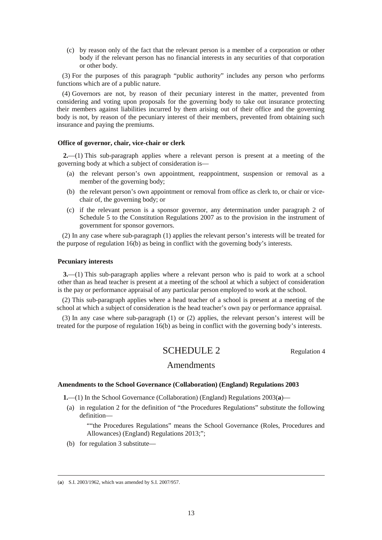(c) by reason only of the fact that the relevant person is a member of a corporation or other body if the relevant person has no financial interests in any securities of that corporation or other body.

(3) For the purposes of this paragraph "public authority" includes any person who performs functions which are of a public nature.

(4) Governors are not, by reason of their pecuniary interest in the matter, prevented from considering and voting upon proposals for the governing body to take out insurance protecting their members against liabilities incurred by them arising out of their office and the governing body is not, by reason of the pecuniary interest of their members, prevented from obtaining such insurance and paying the premiums.

#### **Office of governor, chair, vice-chair or clerk**

**2.**—(1) This sub-paragraph applies where a relevant person is present at a meeting of the governing body at which a subject of consideration is—

- (a) the relevant person's own appointment, reappointment, suspension or removal as a member of the governing body;
- (b) the relevant person's own appointment or removal from office as clerk to, or chair or vicechair of, the governing body; or
- (c) if the relevant person is a sponsor governor, any determination under paragraph 2 of Schedule 5 to the Constitution Regulations 2007 as to the provision in the instrument of government for sponsor governors.

(2) In any case where sub-paragraph (1) applies the relevant person's interests will be treated for the purpose of regulation 16(b) as being in conflict with the governing body's interests.

#### **Pecuniary interests**

**3.**—(1) This sub-paragraph applies where a relevant person who is paid to work at a school other than as head teacher is present at a meeting of the school at which a subject of consideration is the pay or performance appraisal of any particular person employed to work at the school.

(2) This sub-paragraph applies where a head teacher of a school is present at a meeting of the school at which a subject of consideration is the head teacher's own pay or performance appraisal.

(3) In any case where sub-paragraph (1) or (2) applies, the relevant person's interest will be treated for the purpose of regulation 16(b) as being in conflict with the governing body's interests.

## SCHEDULE 2 Regulation 4

## Amendments

### **Amendments to the School Governance (Collaboration) (England) Regulations 2003**

**1.**—(1) In the School Governance (Collaboration) (England) Regulations 2003(**a**)—

- (a) in regulation 2 for the definition of "the Procedures Regulations" substitute the following definition—
	- ""the Procedures Regulations" means the School Governance (Roles, Procedures and Allowances) (England) Regulations 2013;";
- (b) for regulation 3 substitute—

<sup>(</sup>**a**) S.I. 2003/1962, which was amended by S.I. 2007/957.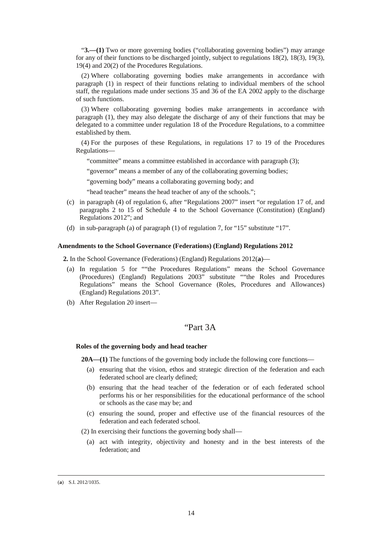"**3.—(1)** Two or more governing bodies ("collaborating governing bodies") may arrange for any of their functions to be discharged jointly, subject to regulations 18(2), 18(3), 19(3), 19(4) and 20(2) of the Procedures Regulations.

(2) Where collaborating governing bodies make arrangements in accordance with paragraph (1) in respect of their functions relating to individual members of the school staff, the regulations made under sections 35 and 36 of the EA 2002 apply to the discharge of such functions.

(3) Where collaborating governing bodies make arrangements in accordance with paragraph (1), they may also delegate the discharge of any of their functions that may be delegated to a committee under regulation 18 of the Procedure Regulations, to a committee established by them.

(4) For the purposes of these Regulations, in regulations 17 to 19 of the Procedures Regulations—

"committee" means a committee established in accordance with paragraph (3);

"governor" means a member of any of the collaborating governing bodies;

"governing body" means a collaborating governing body; and

"head teacher" means the head teacher of any of the schools.";

- (c) in paragraph (4) of regulation 6, after "Regulations 2007" insert "or regulation 17 of, and paragraphs 2 to 15 of Schedule 4 to the School Governance (Constitution) (England) Regulations 2012"; and
- (d) in sub-paragraph (a) of paragraph (1) of regulation 7, for "15" substitute "17".

### **Amendments to the School Governance (Federations) (England) Regulations 2012**

**2.** In the School Governance (Federations) (England) Regulations 2012(**a**)—

- (a) In regulation 5 for ""the Procedures Regulations" means the School Governance (Procedures) (England) Regulations 2003" substitute ""the Roles and Procedures Regulations" means the School Governance (Roles, Procedures and Allowances) (England) Regulations 2013".
- (b) After Regulation 20 insert—

## "Part 3A

### **Roles of the governing body and head teacher**

**20A—(1)** The functions of the governing body include the following core functions—

- (a) ensuring that the vision, ethos and strategic direction of the federation and each federated school are clearly defined;
- (b) ensuring that the head teacher of the federation or of each federated school performs his or her responsibilities for the educational performance of the school or schools as the case may be; and
- (c) ensuring the sound, proper and effective use of the financial resources of the federation and each federated school.

(2) In exercising their functions the governing body shall—

(a) act with integrity, objectivity and honesty and in the best interests of the federation; and

<sup>(</sup>**a**) S.I. 2012/1035.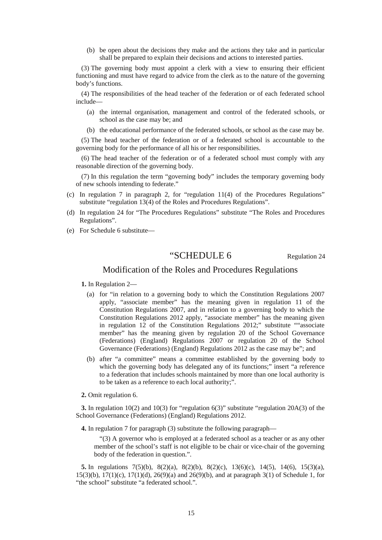(b) be open about the decisions they make and the actions they take and in particular shall be prepared to explain their decisions and actions to interested parties.

(3) The governing body must appoint a clerk with a view to ensuring their efficient functioning and must have regard to advice from the clerk as to the nature of the governing body's functions.

(4) The responsibilities of the head teacher of the federation or of each federated school include—

- (a) the internal organisation, management and control of the federated schools, or school as the case may be; and
- (b) the educational performance of the federated schools, or school as the case may be.

(5) The head teacher of the federation or of a federated school is accountable to the governing body for the performance of all his or her responsibilities.

(6) The head teacher of the federation or of a federated school must comply with any reasonable direction of the governing body.

(7) In this regulation the term "governing body" includes the temporary governing body of new schools intending to federate."

- (c) In regulation 7 in paragraph 2, for "regulation 11(4) of the Procedures Regulations" substitute "regulation 13(4) of the Roles and Procedures Regulations".
- (d) In regulation 24 for "The Procedures Regulations" substitute "The Roles and Procedures Regulations".
- (e) For Schedule 6 substitute—

## "SCHEDULE 6 Regulation 24

## Modification of the Roles and Procedures Regulations

- **1.** In Regulation 2—
	- (a) for "in relation to a governing body to which the Constitution Regulations 2007 apply, "associate member" has the meaning given in regulation 11 of the Constitution Regulations 2007, and in relation to a governing body to which the Constitution Regulations 2012 apply, "associate member" has the meaning given in regulation 12 of the Constitution Regulations 2012;" substitute ""associate member" has the meaning given by regulation 20 of the School Governance (Federations) (England) Regulations 2007 or regulation 20 of the School Governance (Federations) (England) Regulations 2012 as the case may be"; and
	- (b) after "a committee" means a committee established by the governing body to which the governing body has delegated any of its functions;" insert "a reference to a federation that includes schools maintained by more than one local authority is to be taken as a reference to each local authority;".
- **2.** Omit regulation 6.

**3.** In regulation 10(2) and 10(3) for "regulation 6(3)" substitute "regulation 20A(3) of the School Governance (Federations) (England) Regulations 2012.

**4.** In regulation 7 for paragraph (3) substitute the following paragraph—

"(3) A governor who is employed at a federated school as a teacher or as any other member of the school's staff is not eligible to be chair or vice-chair of the governing body of the federation in question.".

**5.** In regulations 7(5)(b), 8(2)(a), 8(2)(b), 8(2)(c), 13(6)(c), 14(5), 14(6), 15(3)(a),  $15(3)(b)$ ,  $17(1)(c)$ ,  $17(1)(d)$ ,  $26(9)(a)$  and  $26(9)(b)$ , and at paragraph  $3(1)$  of Schedule 1, for "the school" substitute "a federated school.".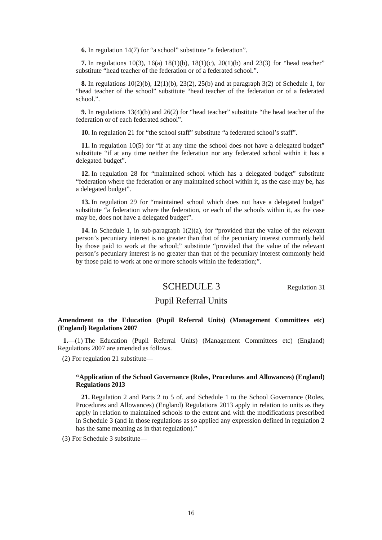**6.** In regulation 14(7) for "a school" substitute "a federation".

**7.** In regulations 10(3), 16(a) 18(1)(b), 18(1)(c), 20(1)(b) and 23(3) for "head teacher" substitute "head teacher of the federation or of a federated school.".

**8.** In regulations 10(2)(b), 12(1)(b), 23(2), 25(b) and at paragraph 3(2) of Schedule 1, for "head teacher of the school" substitute "head teacher of the federation or of a federated school.".

**9.** In regulations 13(4)(b) and 26(2) for "head teacher" substitute "the head teacher of the federation or of each federated school".

**10.** In regulation 21 for "the school staff" substitute "a federated school's staff".

**11.** In regulation 10(5) for "if at any time the school does not have a delegated budget" substitute "if at any time neither the federation nor any federated school within it has a delegated budget".

**12.** In regulation 28 for "maintained school which has a delegated budget" substitute "federation where the federation or any maintained school within it, as the case may be, has a delegated budget".

**13.** In regulation 29 for "maintained school which does not have a delegated budget" substitute "a federation where the federation, or each of the schools within it, as the case may be, does not have a delegated budget".

**14.** In Schedule 1, in sub-paragraph 1(2)(a), for "provided that the value of the relevant person's pecuniary interest is no greater than that of the pecuniary interest commonly held by those paid to work at the school;" substitute "provided that the value of the relevant person's pecuniary interest is no greater than that of the pecuniary interest commonly held by those paid to work at one or more schools within the federation;".

## SCHEDULE 3 Regulation 31

## Pupil Referral Units

## **Amendment to the Education (Pupil Referral Units) (Management Committees etc) (England) Regulations 2007**

**1.**—(1) The Education (Pupil Referral Units) (Management Committees etc) (England) Regulations 2007 are amended as follows.

(2) For regulation 21 substitute—

## **"Application of the School Governance (Roles, Procedures and Allowances) (England) Regulations 2013**

**21.** Regulation 2 and Parts 2 to 5 of, and Schedule 1 to the School Governance (Roles, Procedures and Allowances) (England) Regulations 2013 apply in relation to units as they apply in relation to maintained schools to the extent and with the modifications prescribed in Schedule 3 (and in those regulations as so applied any expression defined in regulation 2 has the same meaning as in that regulation)."

(3) For Schedule 3 substitute—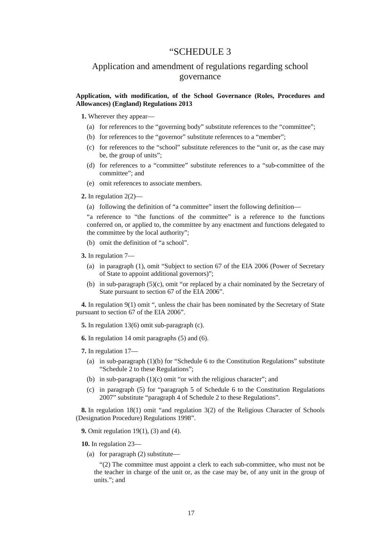## "SCHEDULE 3

## Application and amendment of regulations regarding school governance

## **Application, with modification, of the School Governance (Roles, Procedures and Allowances) (England) Regulations 2013**

**1.** Wherever they appear—

- (a) for references to the "governing body" substitute references to the "committee";
- (b) for references to the "governor" substitute references to a "member";
- (c) for references to the "school" substitute references to the "unit or, as the case may be, the group of units";
- (d) for references to a "committee" substitute references to a "sub-committee of the committee"; and
- (e) omit references to associate members.
- **2.** In regulation 2(2)—
	- (a) following the definition of "a committee" insert the following definition—

"a reference to "the functions of the committee" is a reference to the functions conferred on, or applied to, the committee by any enactment and functions delegated to the committee by the local authority";

(b) omit the definition of "a school".

**3.** In regulation 7—

- (a) in paragraph (1), omit "Subject to section 67 of the EIA 2006 (Power of Secretary of State to appoint additional governors)";
- (b) in sub-paragraph (5)(c), omit "or replaced by a chair nominated by the Secretary of State pursuant to section 67 of the EIA 2006".

**4.** In regulation 9(1) omit ", unless the chair has been nominated by the Secretary of State pursuant to section 67 of the EIA 2006".

**5.** In regulation 13(6) omit sub-paragraph (c).

**6.** In regulation 14 omit paragraphs (5) and (6).

- **7.** In regulation 17—
	- (a) in sub-paragraph (1)(b) for "Schedule 6 to the Constitution Regulations" substitute "Schedule 2 to these Regulations";
	- (b) in sub-paragraph  $(1)(c)$  omit "or with the religious character"; and
	- (c) in paragraph (5) for "paragraph 5 of Schedule 6 to the Constitution Regulations 2007" substitute "paragraph 4 of Schedule 2 to these Regulations".

**8.** In regulation 18(1) omit "and regulation 3(2) of the Religious Character of Schools (Designation Procedure) Regulations 1998".

**9.** Omit regulation 19(1), (3) and (4).

**10.** In regulation 23—

(a) for paragraph (2) substitute—

"(2) The committee must appoint a clerk to each sub-committee, who must not be the teacher in charge of the unit or, as the case may be, of any unit in the group of units."; and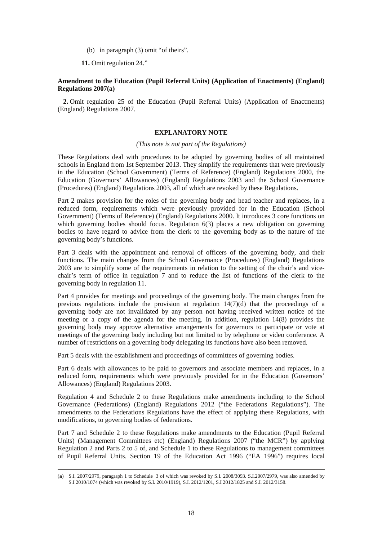(b) in paragraph (3) omit "of theirs".

**11.** Omit regulation 24."

## **Amendment to the Education (Pupil Referral Units) (Application of Enactments) (England) Regulations 2007(a)**

**2.** Omit regulation 25 of the Education (Pupil Referral Units) (Application of Enactments) (England) Regulations 2007.

## **EXPLANATORY NOTE**

### *(This note is not part of the Regulations)*

These Regulations deal with procedures to be adopted by governing bodies of all maintained schools in England from 1st September 2013. They simplify the requirements that were previously in the Education (School Government) (Terms of Reference) (England) Regulations 2000, the Education (Governors' Allowances) (England) Regulations 2003 and the School Governance (Procedures) (England) Regulations 2003, all of which are revoked by these Regulations.

Part 2 makes provision for the roles of the governing body and head teacher and replaces, in a reduced form, requirements which were previously provided for in the Education (School Government) (Terms of Reference) (England) Regulations 2000. It introduces 3 core functions on which governing bodies should focus. Regulation 6(3) places a new obligation on governing bodies to have regard to advice from the clerk to the governing body as to the nature of the governing body's functions.

Part 3 deals with the appointment and removal of officers of the governing body, and their functions. The main changes from the School Governance (Procedures) (England) Regulations 2003 are to simplify some of the requirements in relation to the setting of the chair's and vicechair's term of office in regulation 7 and to reduce the list of functions of the clerk to the governing body in regulation 11.

Part 4 provides for meetings and proceedings of the governing body. The main changes from the previous regulations include the provision at regulation  $14(7)(d)$  that the proceedings of a governing body are not invalidated by any person not having received written notice of the meeting or a copy of the agenda for the meeting. In addition, regulation 14(8) provides the governing body may approve alternative arrangements for governors to participate or vote at meetings of the governing body including but not limited to by telephone or video conference. A number of restrictions on a governing body delegating its functions have also been removed.

Part 5 deals with the establishment and proceedings of committees of governing bodies.

Part 6 deals with allowances to be paid to governors and associate members and replaces, in a reduced form, requirements which were previously provided for in the Education (Governors' Allowances) (England) Regulations 2003.

Regulation 4 and Schedule 2 to these Regulations make amendments including to the School Governance (Federations) (England) Regulations 2012 ("the Federations Regulations"). The amendments to the Federations Regulations have the effect of applying these Regulations, with modifications, to governing bodies of federations.

Part 7 and Schedule 2 to these Regulations make amendments to the Education (Pupil Referral Units) (Management Committees etc) (England) Regulations 2007 ("the MCR") by applying Regulation 2 and Parts 2 to 5 of, and Schedule 1 to these Regulations to management committees of Pupil Referral Units. Section 19 of the Education Act 1996 ("EA 1996") requires local

<sup>(</sup>**a**) S.I. 2007/2979, paragraph 1 to Schedule 3 of which was revoked by S.I. 2008/3093. S.I.2007/2979, was also amended by S.I 2010/1074 (which was revoked by S.I. 2010/1919), S.I. 2012/1201, S.I 2012/1825 and S.I. 2012/3158.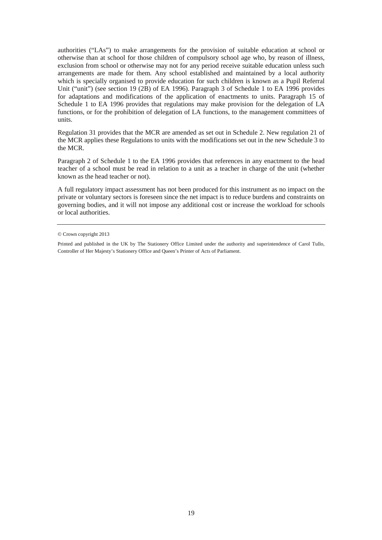authorities ("LAs") to make arrangements for the provision of suitable education at school or otherwise than at school for those children of compulsory school age who, by reason of illness, exclusion from school or otherwise may not for any period receive suitable education unless such arrangements are made for them. Any school established and maintained by a local authority which is specially organised to provide education for such children is known as a Pupil Referral Unit ("unit") (see section 19 (2B) of EA 1996). Paragraph 3 of Schedule 1 to EA 1996 provides for adaptations and modifications of the application of enactments to units. Paragraph 15 of Schedule 1 to EA 1996 provides that regulations may make provision for the delegation of LA functions, or for the prohibition of delegation of LA functions, to the management committees of units.

Regulation 31 provides that the MCR are amended as set out in Schedule 2. New regulation 21 of the MCR applies these Regulations to units with the modifications set out in the new Schedule 3 to the MCR.

Paragraph 2 of Schedule 1 to the EA 1996 provides that references in any enactment to the head teacher of a school must be read in relation to a unit as a teacher in charge of the unit (whether known as the head teacher or not).

A full regulatory impact assessment has not been produced for this instrument as no impact on the private or voluntary sectors is foreseen since the net impact is to reduce burdens and constraints on governing bodies, and it will not impose any additional cost or increase the workload for schools or local authorities.

<sup>©</sup> Crown copyright 2013

Printed and published in the UK by The Stationery Office Limited under the authority and superintendence of Carol Tullo, Controller of Her Majesty's Stationery Office and Queen's Printer of Acts of Parliament.